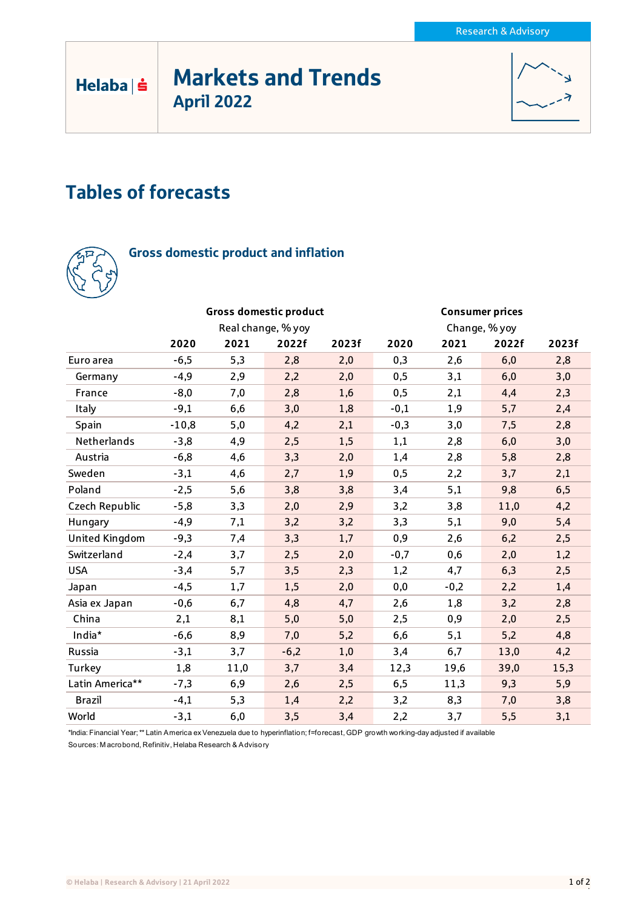# Markets and Trends April 2022



# Tables of forecasts



Helaba | s

## Gross domestic product and inflation

|                       |         |      | <b>Gross domestic product</b> |       | <b>Consumer prices</b><br>Change, % yoy |        |       |       |
|-----------------------|---------|------|-------------------------------|-------|-----------------------------------------|--------|-------|-------|
|                       |         |      | Real change, % yoy            |       |                                         |        |       |       |
|                       | 2020    | 2021 | 2022f                         | 2023f | 2020                                    | 2021   | 2022f | 2023f |
| Euro area             | $-6,5$  | 5,3  | 2,8                           | 2,0   | 0,3                                     | 2,6    | 6,0   | 2,8   |
| Germany               | $-4,9$  | 2,9  | 2,2                           | 2,0   | 0,5                                     | 3,1    | 6,0   | 3,0   |
| France                | $-8,0$  | 7,0  | 2,8                           | 1,6   | 0,5                                     | 2,1    | 4,4   | 2,3   |
| Italy                 | $-9,1$  | 6,6  | 3,0                           | 1,8   | $-0,1$                                  | 1,9    | 5,7   | 2,4   |
| Spain                 | $-10,8$ | 5,0  | 4,2                           | 2,1   | $-0,3$                                  | 3,0    | 7,5   | 2,8   |
| Netherlands           | $-3,8$  | 4,9  | 2,5                           | 1,5   | 1,1                                     | 2,8    | 6,0   | 3,0   |
| Austria               | $-6,8$  | 4,6  | 3,3                           | 2,0   | 1,4                                     | 2,8    | 5,8   | 2,8   |
| Sweden                | $-3,1$  | 4,6  | 2,7                           | 1,9   | 0,5                                     | 2,2    | 3,7   | 2,1   |
| Poland                | $-2,5$  | 5,6  | 3,8                           | 3,8   | 3,4                                     | 5,1    | 9,8   | 6,5   |
| Czech Republic        | $-5,8$  | 3,3  | 2,0                           | 2,9   | 3,2                                     | 3,8    | 11,0  | 4,2   |
| Hungary               | $-4,9$  | 7,1  | 3,2                           | 3,2   | 3,3                                     | 5,1    | 9,0   | 5,4   |
| <b>United Kingdom</b> | $-9,3$  | 7,4  | 3,3                           | 1,7   | 0,9                                     | 2,6    | 6,2   | 2,5   |
| Switzerland           | $-2,4$  | 3,7  | 2,5                           | 2,0   | $-0,7$                                  | 0,6    | 2,0   | 1,2   |
| <b>USA</b>            | $-3,4$  | 5,7  | 3,5                           | 2,3   | 1,2                                     | 4,7    | 6,3   | 2,5   |
| Japan                 | $-4,5$  | 1,7  | 1,5                           | 2,0   | 0,0                                     | $-0,2$ | 2,2   | 1,4   |
| Asia ex Japan         | $-0,6$  | 6,7  | 4,8                           | 4,7   | 2,6                                     | 1,8    | 3,2   | 2,8   |
| China                 | 2,1     | 8,1  | 5,0                           | 5,0   | 2,5                                     | 0,9    | 2,0   | 2,5   |
| India*                | $-6,6$  | 8,9  | 7,0                           | 5,2   | 6,6                                     | 5,1    | 5,2   | 4,8   |
| Russia                | $-3,1$  | 3,7  | $-6,2$                        | 1,0   | 3,4                                     | 6,7    | 13,0  | 4,2   |
| Turkey                | 1,8     | 11,0 | 3,7                           | 3,4   | 12,3                                    | 19,6   | 39,0  | 15,3  |
| Latin America**       | $-7,3$  | 6,9  | 2,6                           | 2,5   | 6,5                                     | 11,3   | 9,3   | 5,9   |
| <b>Brazil</b>         | $-4,1$  | 5,3  | 1,4                           | 2,2   | 3,2                                     | 8,3    | 7,0   | 3,8   |
| World                 | $-3,1$  | 6,0  | 3,5                           | 3,4   | 2,2                                     | 3,7    | 5,5   | 3,1   |